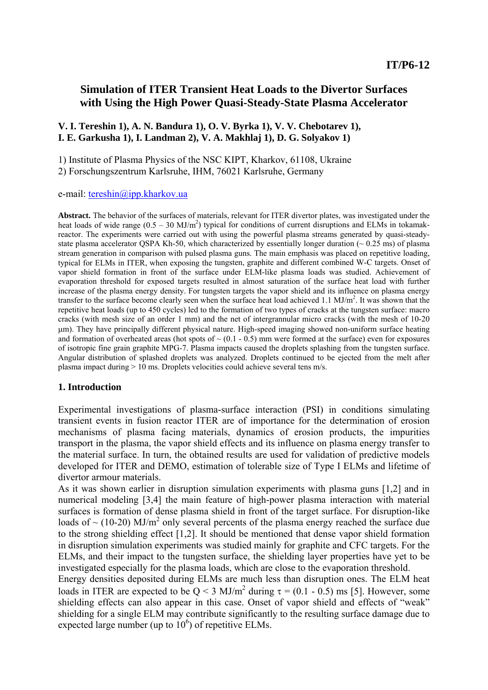## **Simulation of ITER Transient Heat Loads to the Divertor Surfaces with Using the High Power Quasi-Steady-State Plasma Accelerator**

#### **V. I. Tereshin 1), A. N. Bandura 1), O. V. Byrka 1), V. V. Chebotarev 1), I. E. Garkusha 1), I. Landman 2), V. A. Makhlaj 1), D. G. Solyakov 1)**

1) Institute of Plasma Physics of the NSC KIPT, Kharkov, 61108, Ukraine 2) Forschungszentrum Karlsruhe, IHM, 76021 Karlsruhe, Germany

e-mail: [tereshin@ipp.kharkov.ua](mailto:tereshin@ipp.kharkov.ua)

**Abstract.** The behavior of the surfaces of materials, relevant for ITER divertor plates, was investigated under the heat loads of wide range  $(0.5 - 30 \text{ MJ/m}^2)$  typical for conditions of current disruptions and ELMs in tokamakreactor. The experiments were carried out with using the powerful plasma streams generated by quasi-steadystate plasma accelerator OSPA Kh-50, which characterized by essentially longer duration ( $\sim 0.25$  ms) of plasma stream generation in comparison with pulsed plasma guns. The main emphasis was placed on repetitive loading, typical for ELMs in ITER, when exposing the tungsten, graphite and different combined W-C targets. Onset of vapor shield formation in front of the surface under ELM-like plasma loads was studied. Achievement of evaporation threshold for exposed targets resulted in almost saturation of the surface heat load with further increase of the plasma energy density. For tungsten targets the vapor shield and its influence on plasma energy transfer to the surface become clearly seen when the surface heat load achieved  $1.1 \text{ MJ/m}^2$ . It was shown that the repetitive heat loads (up to 450 cycles) led to the formation of two types of cracks at the tungsten surface: macro cracks (with mesh size of an order 1 mm) and the net of intergrannular micro cracks (with the mesh of 10-20 μm). They have principally different physical nature. High-speed imaging showed non-uniform surface heating and formation of overheated areas (hot spots of  $\sim$  (0.1 - 0.5) mm were formed at the surface) even for exposures of isotropic fine grain graphite MPG-7. Plasma impacts caused the droplets splashing from the tungsten surface. Angular distribution of splashed droplets was analyzed. Droplets continued to be ejected from the melt after plasma impact during > 10 ms. Droplets velocities could achieve several tens m/s.

#### **1. Introduction**

Experimental investigations of plasma-surface interaction (PSI) in conditions simulating transient events in fusion reactor ITER are of importance for the determination of erosion mechanisms of plasma facing materials, dynamics of erosion products, the impurities transport in the plasma, the vapor shield effects and its influence on plasma energy transfer to the material surface. In turn, the obtained results are used for validation of predictive models developed for ITER and DEMO, estimation of tolerable size of Type I ELMs and lifetime of divertor armour materials.

As it was shown earlier in disruption simulation experiments with plasma guns [1,2] and in numerical modeling [3,4] the main feature of high-power plasma interaction with material surfaces is formation of dense plasma shield in front of the target surface. For disruption-like loads of  $\sim$  (10-20) MJ/m<sup>2</sup> only several percents of the plasma energy reached the surface due to the strong shielding effect [1,2]. It should be mentioned that dense vapor shield formation in disruption simulation experiments was studied mainly for graphite and CFC targets. For the ELMs, and their impact to the tungsten surface, the shielding layer properties have yet to be investigated especially for the plasma loads, which are close to the evaporation threshold.

Energy densities deposited during ELMs are much less than disruption ones. The ELM heat loads in ITER are expected to be  $Q < 3$  MJ/m<sup>2</sup> during  $\tau = (0.1 - 0.5)$  ms [5]. However, some shielding effects can also appear in this case. Onset of vapor shield and effects of "weak" shielding for a single ELM may contribute significantly to the resulting surface damage due to expected large number (up to  $10^6$ ) of repetitive ELMs.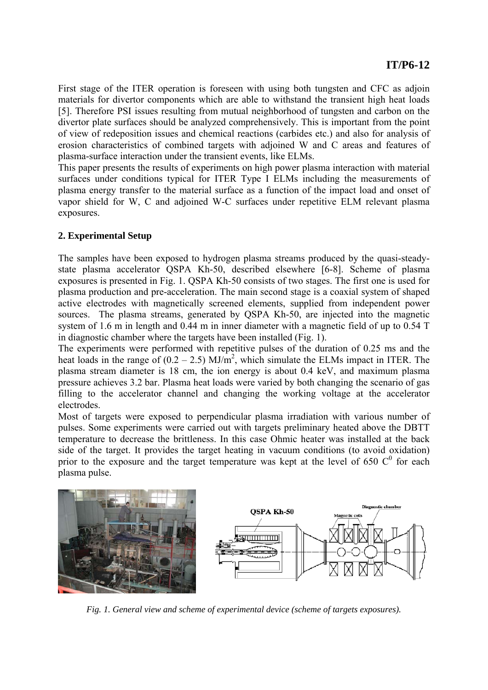First stage of the ITER operation is foreseen with using both tungsten and CFC as adjoin materials for divertor components which are able to withstand the transient high heat loads [5]. Therefore PSI issues resulting from mutual neighborhood of tungsten and carbon on the divertor plate surfaces should be analyzed comprehensively. This is important from the point of view of redeposition issues and chemical reactions (carbides etc.) and also for analysis of erosion characteristics of combined targets with adjoined W and C areas and features of plasma-surface interaction under the transient events, like ELMs.

This paper presents the results of experiments on high power plasma interaction with material surfaces under conditions typical for ITER Type I ELMs including the measurements of plasma energy transfer to the material surface as a function of the impact load and onset of vapor shield for W, C and adjoined W-C surfaces under repetitive ELM relevant plasma exposures.

### **2. Experimental Setup**

The samples have been exposed to hydrogen plasma streams produced by the quasi-steadystate plasma accelerator QSPA Kh-50, described elsewhere [6-8]. Scheme of plasma exposures is presented in Fig. 1. QSPA Kh-50 consists of two stages. The first one is used for plasma production and pre-acceleration. The main second stage is a coaxial system of shaped active electrodes with magnetically screened elements, supplied from independent power sources. The plasma streams, generated by QSPA Kh-50, are injected into the magnetic system of 1.6 m in length and 0.44 m in inner diameter with a magnetic field of up to 0.54 T in diagnostic chamber where the targets have been installed (Fig. 1).

The experiments were performed with repetitive pulses of the duration of 0.25 ms and the heat loads in the range of  $(0.2 - 2.5)$  MJ/m<sup>2</sup>, which simulate the ELMs impact in ITER. The plasma stream diameter is 18 cm, the ion energy is about 0.4 keV, and maximum plasma pressure achieves 3.2 bar. Plasma heat loads were varied by both changing the scenario of gas filling to the accelerator channel and changing the working voltage at the accelerator electrodes.

Most of targets were exposed to perpendicular plasma irradiation with various number of pulses. Some experiments were carried out with targets preliminary heated above the DBTT temperature to decrease the brittleness. In this case Ohmic heater was installed at the back side of the target. It provides the target heating in vacuum conditions (to avoid oxidation) prior to the exposure and the target temperature was kept at the level of 650  $\mathbb{C}^0$  for each plasma pulse.



*Fig. 1. General view and scheme of experimental device (scheme of targets exposures).*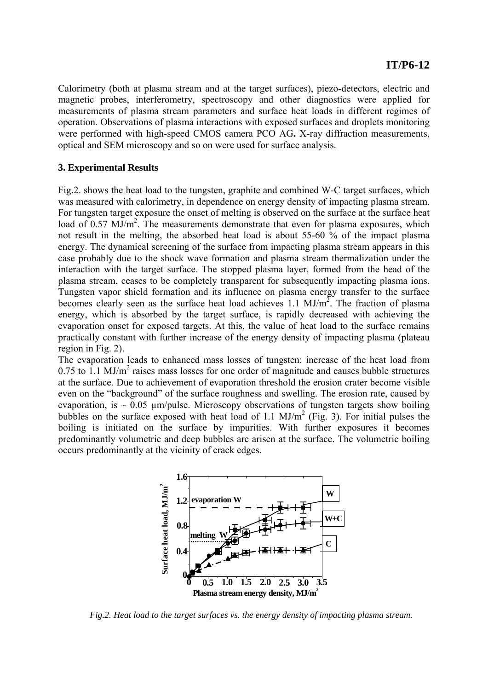Calorimetry (both at plasma stream and at the target surfaces), piezo-detectors, electric and magnetic probes, interferometry, spectroscopy and other diagnostics were applied for measurements of plasma stream parameters and surface heat loads in different regimes of operation. Observations of plasma interactions with exposed surfaces and droplets monitoring were performed with high-speed CMOS camera PCO AG**.** X-ray diffraction measurements, optical and SEM microscopy and so on were used for surface analysis.

#### **3. Experimental Results**

Fig.2. shows the heat load to the tungsten, graphite and combined W-C target surfaces, which was measured with calorimetry, in dependence on energy density of impacting plasma stream. For tungsten target exposure the onset of melting is observed on the surface at the surface heat load of 0.57 MJ/m<sup>2</sup>. The measurements demonstrate that even for plasma exposures, which not result in the melting, the absorbed heat load is about 55-60 % of the impact plasma energy. The dynamical screening of the surface from impacting plasma stream appears in this case probably due to the shock wave formation and plasma stream thermalization under the interaction with the target surface. The stopped plasma layer, formed from the head of the plasma stream, ceases to be completely transparent for subsequently impacting plasma ions. Tungsten vapor shield formation and its influence on plasma energy transfer to the surface becomes clearly seen as the surface heat load achieves 1.1  $MJ/m<sup>2</sup>$ . The fraction of plasma energy, which is absorbed by the target surface, is rapidly decreased with achieving the evaporation onset for exposed targets. At this, the value of heat load to the surface remains practically constant with further increase of the energy density of impacting plasma (plateau region in Fig. 2).

The evaporation leads to enhanced mass losses of tungsten: increase of the heat load from  $0.75$  to 1.1 MJ/m<sup>2</sup> raises mass losses for one order of magnitude and causes bubble structures at the surface. Due to achievement of evaporation threshold the erosion crater become visible even on the "background" of the surface roughness and swelling. The erosion rate, caused by evaporation, is  $\sim 0.05$  µm/pulse. Microscopy observations of tungsten targets show boiling bubbles on the surface exposed with heat load of 1.1  $MJ/m^2$  (Fig. 3). For initial pulses the boiling is initiated on the surface by impurities. With further exposures it becomes predominantly volumetric and deep bubbles are arisen at the surface. The volumetric boiling occurs predominantly at the vicinity of crack edges.



*Fig.2. Heat load to the target surfaces vs. the energy density of impacting plasma stream.*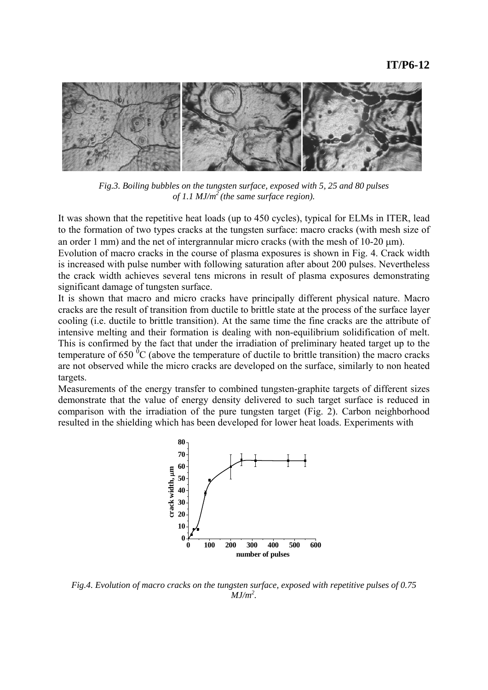

*Fig.3. Boiling bubbles on the tungsten surface, exposed with 5, 25 and 80 pulses of 1.1 MJ/m2 (the same surface region).* 

It was shown that the repetitive heat loads (up to 450 cycles), typical for ELMs in ITER, lead to the formation of two types cracks at the tungsten surface: macro cracks (with mesh size of an order 1 mm) and the net of intergrannular micro cracks (with the mesh of 10-20 μm).

Evolution of macro cracks in the course of plasma exposures is shown in Fig. 4. Crack width is increased with pulse number with following saturation after about 200 pulses. Nevertheless the crack width achieves several tens microns in result of plasma exposures demonstrating significant damage of tungsten surface.

It is shown that macro and micro cracks have principally different physical nature. Macro cracks are the result of transition from ductile to brittle state at the process of the surface layer cooling (i.e. ductile to brittle transition). At the same time the fine cracks are the attribute of intensive melting and their formation is dealing with non-equilibrium solidification of melt. This is confirmed by the fact that under the irradiation of preliminary heated target up to the temperature of 650  ${}^{0}C$  (above the temperature of ductile to brittle transition) the macro cracks are not observed while the micro cracks are developed on the surface, similarly to non heated targets.

Measurements of the energy transfer to combined tungsten-graphite targets of different sizes demonstrate that the value of energy density delivered to such target surface is reduced in comparison with the irradiation of the pure tungsten target (Fig. 2). Carbon neighborhood resulted in the shielding which has been developed for lower heat loads. Experiments with



*Fig.4. Evolution of macro cracks on the tungsten surface, exposed with repetitive pulses of 0.75 MJ/m2 .*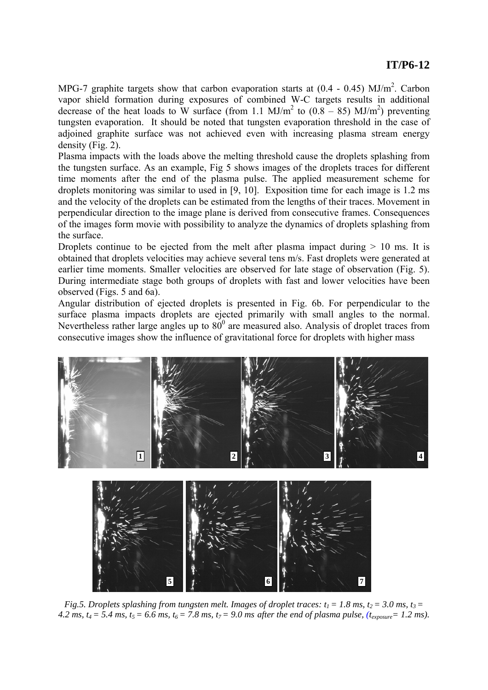# **IT/P6-12**

MPG-7 graphite targets show that carbon evaporation starts at  $(0.4 - 0.45)$  MJ/m<sup>2</sup>. Carbon vapor shield formation during exposures of combined W-C targets results in additional decrease of the heat loads to W surface (from 1.1 MJ/m<sup>2</sup> to  $(0.8 - 85)$  MJ/m<sup>2</sup>) preventing tungsten evaporation. It should be noted that tungsten evaporation threshold in the case of adjoined graphite surface was not achieved even with increasing plasma stream energy density (Fig. 2).

Plasma impacts with the loads above the melting threshold cause the droplets splashing from the tungsten surface. As an example, Fig 5 shows images of the droplets traces for different time moments after the end of the plasma pulse. The applied measurement scheme for droplets monitoring was similar to used in [9, 10]. Exposition time for each image is 1.2 ms and the velocity of the droplets can be estimated from the lengths of their traces. Movement in perpendicular direction to the image plane is derived from consecutive frames. Consequences of the images form movie with possibility to analyze the dynamics of droplets splashing from the surface.

Droplets continue to be ejected from the melt after plasma impact during  $> 10$  ms. It is obtained that droplets velocities may achieve several tens m/s. Fast droplets were generated at earlier time moments. Smaller velocities are observed for late stage of observation (Fig. 5). During intermediate stage both groups of droplets with fast and lower velocities have been observed (Figs. 5 and 6a).

Angular distribution of ejected droplets is presented in Fig. 6b. For perpendicular to the surface plasma impacts droplets are ejected primarily with small angles to the normal. Nevertheless rather large angles up to  $80^{\circ}$  are measured also. Analysis of droplet traces from consecutive images show the influence of gravitational force for droplets with higher mass





*Fig.5. Droplets splashing from tungsten melt. Images of droplet traces:*  $t_1 = 1.8$  *ms,*  $t_2 = 3.0$  *ms,*  $t_3 = 1.8$  *ms, t<sub>3</sub> =*  $\frac{1}{2}$ 4.2 ms,  $t_4 = 5.4$  ms,  $t_5 = 6.6$  ms,  $t_6 = 7.8$  ms,  $t_7 = 9.0$  ms after the end of plasma pulse,  $(t_{\text{exposure}} = 1.2$  ms).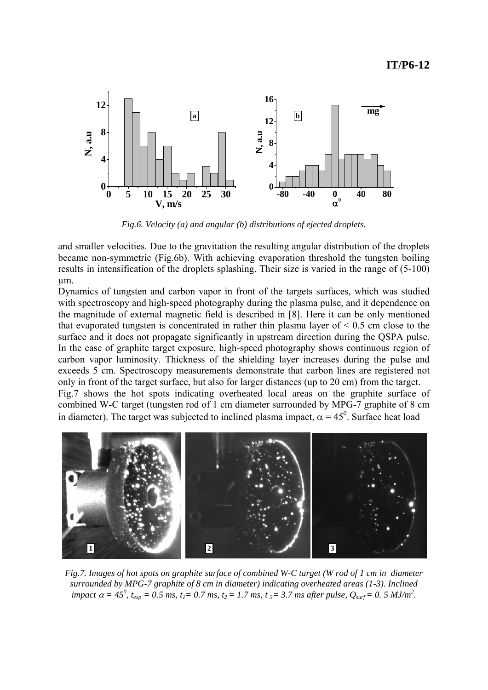

*Fig.6. Velocity (a) and angular (b) distributions of ejected droplets.* 

and smaller velocities. Due to the gravitation the resulting angular distribution of the droplets became non-symmetric (Fig.6b). With achieving evaporation threshold the tungsten boiling results in intensification of the droplets splashing. Their size is varied in the range of (5-100) µm.

Dynamics of tungsten and carbon vapor in front of the targets surfaces, which was studied with spectroscopy and high-speed photography during the plasma pulse, and it dependence on the magnitude of external magnetic field is described in [8]. Here it can be only mentioned that evaporated tungsten is concentrated in rather thin plasma layer of  $\leq 0.5$  cm close to the surface and it does not propagate significantly in upstream direction during the QSPA pulse. In the case of graphite target exposure, high-speed photography shows continuous region of carbon vapor luminosity. Thickness of the shielding layer increases during the pulse and exceeds 5 cm. Spectroscopy measurements demonstrate that carbon lines are registered not only in front of the target surface, but also for larger distances (up to 20 cm) from the target. Fig.7 shows the hot spots indicating overheated local areas on the graphite surface of combined W-C target (tungsten rod of 1 cm diameter surrounded by MPG-7 graphite of 8 cm in diameter). The target was subjected to inclined plasma impact,  $\alpha = 45^{\circ}$ . Surface heat load



*Fig.7. Images of hot spots on graphite surface of combined W-C target (W rod of 1 cm in diameter surrounded by MPG-7 graphite of 8 cm in diameter) indicating overheated areas (1-3). Inclined impact*  $\alpha = 45^0$ ,  $t_{exp} = 0.5$  ms,  $t_1 = 0.7$  ms,  $t_2 = 1.7$  ms,  $t_3 = 3.7$  ms after pulse,  $Q_{surf} = 0.5$  MJ/m<sup>2</sup>.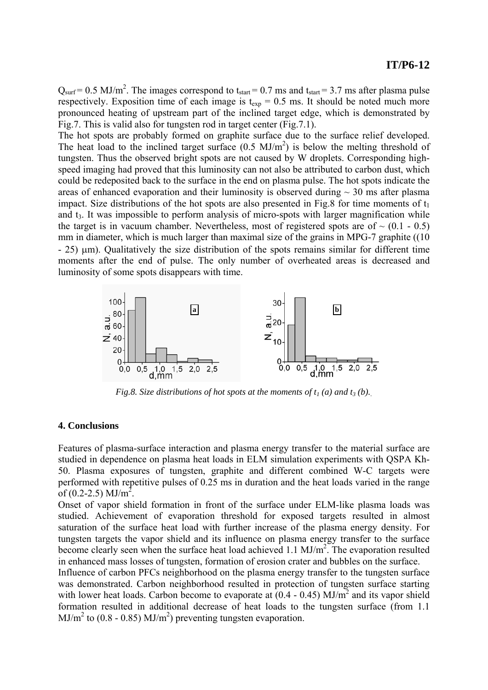$Q<sub>surf</sub> = 0.5 MJ/m<sup>2</sup>$ . The images correspond to t<sub>start</sub> = 0.7 ms and t<sub>start</sub> = 3.7 ms after plasma pulse respectively. Exposition time of each image is  $t_{exp} = 0.5$  ms. It should be noted much more pronounced heating of upstream part of the inclined target edge, which is demonstrated by Fig.7. This is valid also for tungsten rod in target center (Fig.7.1).

The hot spots are probably formed on graphite surface due to the surface relief developed. The heat load to the inclined target surface  $(0.5 \text{ MJ/m}^2)$  is below the melting threshold of tungsten. Thus the observed bright spots are not caused by W droplets. Corresponding highspeed imaging had proved that this luminosity can not also be attributed to carbon dust, which could be redeposited back to the surface in the end on plasma pulse. The hot spots indicate the areas of enhanced evaporation and their luminosity is observed during  $\sim$  30 ms after plasma impact. Size distributions of the hot spots are also presented in Fig.8 for time moments of  $t_1$ and t3. It was impossible to perform analysis of micro-spots with larger magnification while the target is in vacuum chamber. Nevertheless, most of registered spots are of  $\sim$  (0.1 - 0.5) mm in diameter, which is much larger than maximal size of the grains in MPG-7 graphite ((10) - 25) μm). Qualitatively the size distribution of the spots remains similar for different time moments after the end of pulse. The only number of overheated areas is decreased and luminosity of some spots disappears with time.



*Fig.8. Size distributions of hot spots at the moments of*  $t_1$  *(a) and*  $t_3$  *(b).* 

#### **4. Conclusions**

Features of plasma-surface interaction and plasma energy transfer to the material surface are studied in dependence on plasma heat loads in ELM simulation experiments with QSPA Kh-50. Plasma exposures of tungsten, graphite and different combined W-C targets were performed with repetitive pulses of 0.25 ms in duration and the heat loads varied in the range of  $(0.2-2.5)$  MJ/m<sup>2</sup>.

Onset of vapor shield formation in front of the surface under ELM-like plasma loads was studied. Achievement of evaporation threshold for exposed targets resulted in almost saturation of the surface heat load with further increase of the plasma energy density. For tungsten targets the vapor shield and its influence on plasma energy transfer to the surface become clearly seen when the surface heat load achieved 1.1  $MJ/m<sup>2</sup>$ . The evaporation resulted in enhanced mass losses of tungsten, formation of erosion crater and bubbles on the surface.

Influence of carbon PFCs neighborhood on the plasma energy transfer to the tungsten surface was demonstrated. Carbon neighborhood resulted in protection of tungsten surface starting with lower heat loads. Carbon become to evaporate at  $(0.4 - 0.45)$  MJ/m<sup>2</sup> and its vapor shield formation resulted in additional decrease of heat loads to the tungsten surface (from 1.1  $MJ/m<sup>2</sup>$  to (0.8 - 0.85)  $MJ/m<sup>2</sup>$ ) preventing tungsten evaporation.